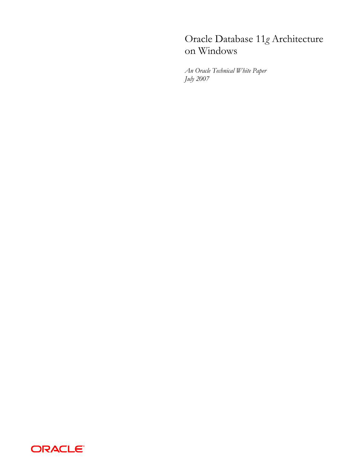# Oracle Database 11*g* Architecture on Windows

*An Oracle Technical White Paper July 2007* 

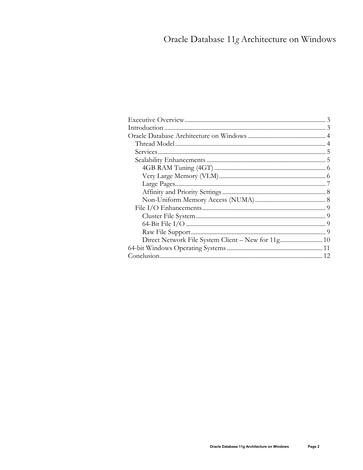# Oracle Database 11g Architecture on Windows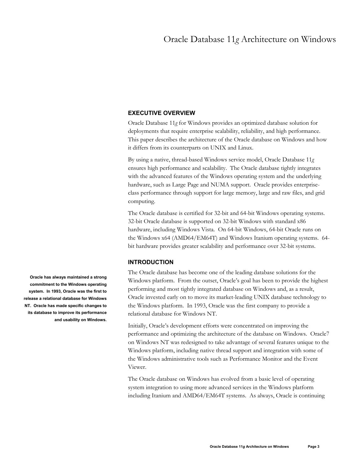# **EXECUTIVE OVERVIEW**

Oracle Database 11*g* for Windows provides an optimized database solution for deployments that require enterprise scalability, reliability, and high performance. This paper describes the architecture of the Oracle database on Windows and how it differs from its counterparts on UNIX and Linux.

By using a native, thread-based Windows service model, Oracle Database 11*g* ensures high performance and scalability. The Oracle database tightly integrates with the advanced features of the Windows operating system and the underlying hardware, such as Large Page and NUMA support. Oracle provides enterpriseclass performance through support for large memory, large and raw files, and grid computing.

The Oracle database is certified for 32-bit and 64-bit Windows operating systems. 32-bit Oracle database is supported on 32-bit Windows with standard x86 hardware, including Windows Vista. On 64-bit Windows, 64-bit Oracle runs on the Windows x64 (AMD64/EM64T) and Windows Itanium operating systems. 64 bit hardware provides greater scalability and performance over 32-bit systems.

# **INTRODUCTION**

The Oracle database has become one of the leading database solutions for the Windows platform. From the outset, Oracle's goal has been to provide the highest performing and most tightly integrated database on Windows and, as a result, Oracle invested early on to move its market-leading UNIX database technology to the Windows platform. In 1993, Oracle was the first company to provide a relational database for Windows NT.

Initially, Oracle's development efforts were concentrated on improving the performance and optimizing the architecture of the database on Windows. Oracle7 on Windows NT was redesigned to take advantage of several features unique to the Windows platform, including native thread support and integration with some of the Windows administrative tools such as Performance Monitor and the Event Viewer.

The Oracle database on Windows has evolved from a basic level of operating system integration to using more advanced services in the Windows platform including Itanium and AMD64/EM64T systems. As always, Oracle is continuing

**Oracle has always maintained a strong commitment to the Windows operating system. In 1993, Oracle was the first to release a relational database for Windows NT. Oracle has made specific changes to its database to improve its performance and usability on Windows.**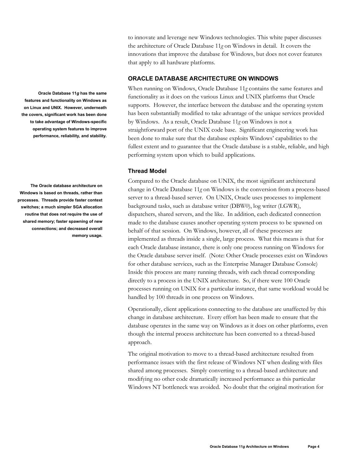to innovate and leverage new Windows technologies. This white paper discusses the architecture of Oracle Database 11*g* on Windows in detail. It covers the innovations that improve the database for Windows, but does not cover features that apply to all hardware platforms.

# **ORACLE DATABASE ARCHITECTURE ON WINDOWS**

When running on Windows, Oracle Database 11*g* contains the same features and functionality as it does on the various Linux and UNIX platforms that Oracle supports. However, the interface between the database and the operating system has been substantially modified to take advantage of the unique services provided by Windows. As a result, Oracle Database 11*g* on Windows is not a straightforward port of the UNIX code base. Significant engineering work has been done to make sure that the database exploits Windows' capabilities to the fullest extent and to guarantee that the Oracle database is a stable, reliable, and high performing system upon which to build applications.

# **Thread Model**

Compared to the Oracle database on UNIX, the most significant architectural change in Oracle Database 11*g* on Windows is the conversion from a process-based server to a thread-based server. On UNIX, Oracle uses processes to implement background tasks, such as database writer (DBW0), log writer (LGWR), dispatchers, shared servers, and the like. In addition, each dedicated connection made to the database causes another operating system process to be spawned on behalf of that session. On Windows, however, all of these processes are implemented as threads inside a single, large process. What this means is that for each Oracle database instance, there is only one process running on Windows for the Oracle database server itself. (Note: Other Oracle processes exist on Windows for other database services, such as the Enterprise Manager Database Console) Inside this process are many running threads, with each thread corresponding directly to a process in the UNIX architecture. So, if there were 100 Oracle processes running on UNIX for a particular instance, that same workload would be handled by 100 threads in one process on Windows.

Operationally, client applications connecting to the database are unaffected by this change in database architecture. Every effort has been made to ensure that the database operates in the same way on Windows as it does on other platforms, even though the internal process architecture has been converted to a thread-based approach.

The original motivation to move to a thread-based architecture resulted from performance issues with the first release of Windows NT when dealing with files shared among processes. Simply converting to a thread-based architecture and modifying no other code dramatically increased performance as this particular Windows NT bottleneck was avoided. No doubt that the original motivation for

**Oracle Database 11***g* **has the same features and functionality on Windows as on Linux and UNIX. However, underneath the covers, significant work has been done to take advantage of Windows-specific operating system features to improve performance, reliability, and stability.** 

**The Oracle database architecture on Windows is based on threads, rather than processes. Threads provide faster context switches; a much simpler SGA allocation routine that does not require the use of shared memory; faster spawning of new connections; and decreased overall memory usage.**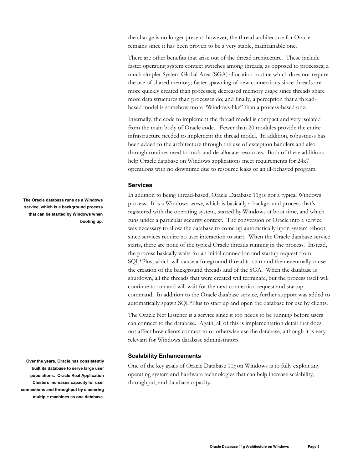the change is no longer present; however, the thread architecture for Oracle remains since it has been proven to be a very stable, maintainable one.

There are other benefits that arise out of the thread architecture. These include faster operating system context switches among threads, as opposed to processes; a much simpler System Global Area (SGA) allocation routine which does not require the use of shared memory; faster spawning of new connections since threads are more quickly created than processes; decreased memory usage since threads share more data structures than processes do; and finally, a perception that a threadbased model is somehow more "Windows-like" than a process-based one.

Internally, the code to implement the thread model is compact and very isolated from the main body of Oracle code. Fewer than 20 modules provide the entire infrastructure needed to implement the thread model. In addition, robustness has been added to the architecture through the use of exception handlers and also through routines used to track and de-allocate resources. Both of these additions help Oracle database on Windows applications meet requirements for 24x7 operations with no downtime due to resource leaks or an ill-behaved program.

## **Services**

In addition to being thread-based, Oracle Database 11*g* is not a typical Windows process. It is a Windows *service*, which is basically a background process that's registered with the operating system, started by Windows at boot time, and which runs under a particular security context. The conversion of Oracle into a service was necessary to allow the database to come up automatically upon system reboot, since services require no user interaction to start. When the Oracle database service starts, there are none of the typical Oracle threads running in the process. Instead, the process basically waits for an initial connection and startup request from SQL\*Plus, which will cause a foreground thread to start and then eventually cause the creation of the background threads and of the SGA. When the database is shutdown, all the threads that were created will terminate, but the process itself will continue to run and will wait for the next connection request and startup command. In addition to the Oracle database service, further support was added to automatically spawn SQL\*Plus to start up and open the database for use by clients.

The Oracle Net Listener is a service since it too needs to be running before users can connect to the database. Again, all of this is implementation detail that does not affect how clients connect to or otherwise use the database, although it is very relevant for Windows database administrators.

## **Scalability Enhancements**

One of the key goals of Oracle Database 11*g* on Windows is to fully exploit any operating system and hardware technologies that can help increase scalability, throughput, and database capacity.

**The Oracle database runs as a Windows service, which is a background process that can be started by Windows when booting up.** 

**Over the years, Oracle has consistently built its database to serve large user populations. Oracle Real Application Clusters increases capacity for user connections and throughput by clustering multiple machines as one database.**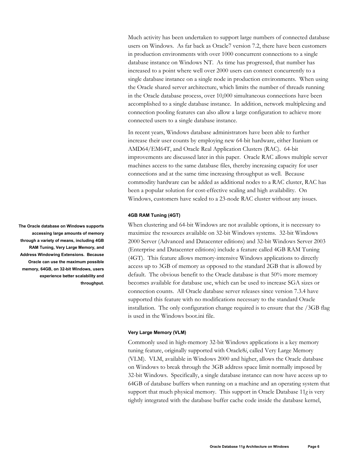Much activity has been undertaken to support large numbers of connected database users on Windows. As far back as Oracle7 version 7.2, there have been customers in production environments with over 1000 concurrent connections to a single database instance on Windows NT. As time has progressed, that number has increased to a point where well over 2000 users can connect concurrently to a single database instance on a single node in production environments. When using the Oracle shared server architecture, which limits the number of threads running in the Oracle database process, over 10,000 simultaneous connections have been accomplished to a single database instance. In addition, network multiplexing and connection pooling features can also allow a large configuration to achieve more connected users to a single database instance.

In recent years, Windows database administrators have been able to further increase their user counts by employing new 64-bit hardware, either Itanium or AMD64/EM64T, and Oracle Real Application Clusters (RAC). 64-bit improvements are discussed later in this paper. Oracle RAC allows multiple server machines access to the same database files, thereby increasing capacity for user connections and at the same time increasing throughput as well. Because commodity hardware can be added as additional nodes to a RAC cluster, RAC has been a popular solution for cost-effective scaling and high availability. On Windows, customers have scaled to a 23-node RAC cluster without any issues.

#### **4GB RAM Tuning (4GT)**

When clustering and 64-bit Windows are not available options, it is necessary to maximize the resources available on 32-bit Windows systems. 32-bit Windows 2000 Server (Advanced and Datacenter editions) and 32-bit Windows Server 2003 (Enterprise and Datacenter editions) include a feature called 4GB RAM Tuning (4GT). This feature allows memory-intensive Windows applications to directly access up to 3GB of memory as opposed to the standard 2GB that is allowed by default. The obvious benefit to the Oracle database is that 50% more memory becomes available for database use, which can be used to increase SGA sizes or connection counts. All Oracle database server releases since version 7.3.4 have supported this feature with no modifications necessary to the standard Oracle installation. The only configuration change required is to ensure that the /3GB flag is used in the Windows boot.ini file.

### **Very Large Memory (VLM)**

Commonly used in high-memory 32-bit Windows applications is a key memory tuning feature, originally supported with Oracle8*i*, called Very Large Memory (VLM). VLM, available in Windows 2000 and higher, allows the Oracle database on Windows to break through the 3GB address space limit normally imposed by 32-bit Windows. Specifically, a single database instance can now have access up to 64GB of database buffers when running on a machine and an operating system that support that much physical memory. This support in Oracle Database 11*g* is very tightly integrated with the database buffer cache code inside the database kernel,

**The Oracle database on Windows supports accessing large amounts of memory through a variety of means, including 4GB RAM Tuning, Very Large Memory, and Address Windowing Extensions. Because Oracle can use the maximum possible memory, 64GB, on 32-bit Windows, users experience better scalability and throughput.**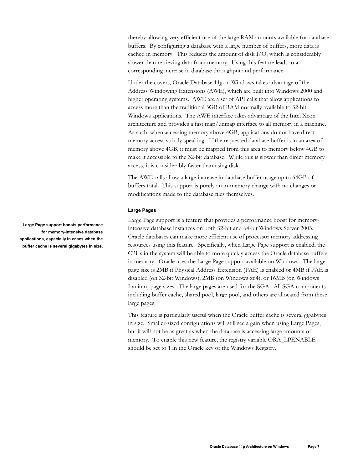thereby allowing very efficient use of the large RAM amounts available for database buffers. By configuring a database with a large number of buffers, more data is cached in memory. This reduces the amount of disk I/O, which is considerably slower than retrieving data from memory. Using this feature leads to a corresponding increase in database throughput and performance.

Under the covers, Oracle Database 11*g* on Windows takes advantage of the Address Windowing Extensions (AWE), which are built into Windows 2000 and higher operating systems. AWE are a set of API calls that allow applications to access more than the traditional 3GB of RAM normally available to 32-bit Windows applications. The AWE interface takes advantage of the Intel Xeon architecture and provides a fast map/unmap interface to all memory in a machine. As such, when accessing memory above 4GB, applications do not have direct memory access strictly speaking. If the requested database buffer is in an area of memory above 4GB, it must be mapped from this area to memory below 4GB to make it accessible to the 32-bit database. While this is slower than direct memory access, it is considerably faster than using disk.

The AWE calls allow a large increase in database buffer usage up to 64GB of buffers total. This support is purely an in-memory change with no changes or modifications made to the database files themselves.

## **Large Pages**

Large Page support is a feature that provides a performance boost for memoryintensive database instances on both 32-bit and 64-bit Windows Server 2003. Oracle databases can make more efficient use of processor memory addressing resources using this feature. Specifically, when Large Page support is enabled, the CPUs in the system will be able to more quickly access the Oracle database buffers in memory. Oracle uses the Large Page support available on Windows. The large page size is 2MB if Physical Address Extension (PAE) is enabled or 4MB if PAE is disabled (on 32-bit Windows); 2MB (on Windows x64); or 16MB (on Windows Itanium) page sizes. The large pages are used for the SGA. All SGA components including buffer cache, shared pool, large pool, and others are allocated from these large pages.

This feature is particularly useful when the Oracle buffer cache is several gigabytes in size. Smaller-sized configurations will still see a gain when using Large Pages, but it will not be as great as when the database is accessing large amounts of memory. To enable this new feature, the registry variable ORA\_LPENABLE should be set to 1 in the Oracle key of the Windows Registry.

**Large Page support boosts performance for memory-intensive database applications, especially in cases when the buffer cache is several gigabytes in size.**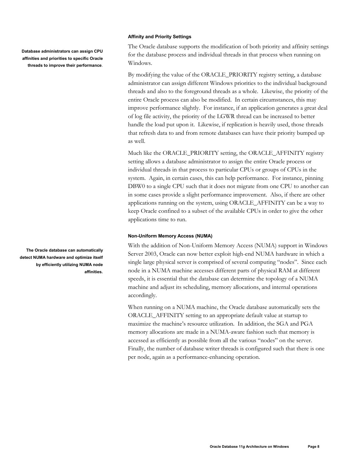#### **Affinity and Priority Settings**

**Database administrators can assign CPU affinities and priorities to specific Oracle threads to improve their performance**. The Oracle database supports the modification of both priority and affinity settings for the database process and individual threads in that process when running on Windows.

By modifying the value of the ORACLE\_PRIORITY registry setting, a database administrator can assign different Windows priorities to the individual background threads and also to the foreground threads as a whole. Likewise, the priority of the entire Oracle process can also be modified. In certain circumstances, this may improve performance slightly. For instance, if an application generates a great deal of log file activity, the priority of the LGWR thread can be increased to better handle the load put upon it. Likewise, if replication is heavily used, those threads that refresh data to and from remote databases can have their priority bumped up as well.

Much like the ORACLE\_PRIORITY setting, the ORACLE\_AFFINITY registry setting allows a database administrator to assign the entire Oracle process or individual threads in that process to particular CPUs or groups of CPUs in the system. Again, in certain cases, this can help performance. For instance, pinning DBW0 to a single CPU such that it does not migrate from one CPU to another can in some cases provide a slight performance improvement. Also, if there are other applications running on the system, using ORACLE\_AFFINITY can be a way to keep Oracle confined to a subset of the available CPUs in order to give the other applications time to run.

#### **Non-Uniform Memory Access (NUMA)**

With the addition of Non-Uniform Memory Access (NUMA) support in Windows Server 2003, Oracle can now better exploit high-end NUMA hardware in which a single large physical server is comprised of several computing "nodes". Since each node in a NUMA machine accesses different parts of physical RAM at different speeds, it is essential that the database can determine the topology of a NUMA machine and adjust its scheduling, memory allocations, and internal operations accordingly.

When running on a NUMA machine, the Oracle database automatically sets the ORACLE\_AFFINITY setting to an appropriate default value at startup to maximize the machine's resource utilization. In addition, the SGA and PGA memory allocations are made in a NUMA-aware fashion such that memory is accessed as efficiently as possible from all the various "nodes" on the server. Finally, the number of database writer threads is configured such that there is one per node, again as a performance-enhancing operation.

**The Oracle database can automatically detect NUMA hardware and optimize itself by efficiently utilizing NUMA node affinities.**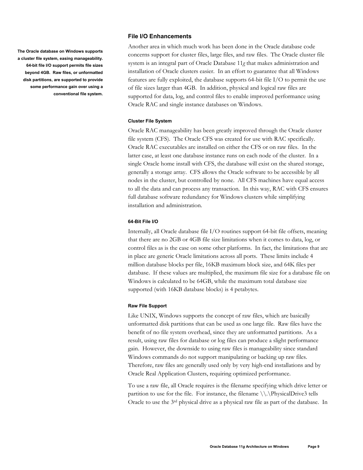**The Oracle database on Windows supports a cluster file system, easing manageability. 64-bit file I/O support permits file sizes beyond 4GB. Raw files, or unformatted disk partitions, are supported to provide some performance gain over using a conventional file system.** 

### **File I/O Enhancements**

Another area in which much work has been done in the Oracle database code concerns support for cluster files, large files, and raw files. The Oracle cluster file system is an integral part of Oracle Database 11*g* that makes administration and installation of Oracle clusters easier. In an effort to guarantee that all Windows features are fully exploited, the database supports 64-bit file I/O to permit the use of file sizes larger than 4GB. In addition, physical and logical raw files are supported for data, log, and control files to enable improved performance using Oracle RAC and single instance databases on Windows.

#### **Cluster File System**

Oracle RAC manageability has been greatly improved through the Oracle cluster file system (CFS). The Oracle CFS was created for use with RAC specifically. Oracle RAC executables are installed on either the CFS or on raw files. In the latter case, at least one database instance runs on each node of the cluster. In a single Oracle home install with CFS, the database will exist on the shared storage, generally a storage array. CFS allows the Oracle software to be accessible by all nodes in the cluster, but controlled by none. All CFS machines have equal access to all the data and can process any transaction. In this way, RAC with CFS ensures full database software redundancy for Windows clusters while simplifying installation and administration.

### **64-Bit File I/O**

Internally, all Oracle database file I/O routines support 64-bit file offsets, meaning that there are no 2GB or 4GB file size limitations when it comes to data, log, or control files as is the case on some other platforms. In fact, the limitations that are in place are generic Oracle limitations across all ports. These limits include 4 million database blocks per file, 16KB maximum block size, and 64K files per database. If these values are multiplied, the maximum file size for a database file on Windows is calculated to be 64GB, while the maximum total database size supported (with 16KB database blocks) is 4 petabytes.

#### **Raw File Support**

Like UNIX, Windows supports the concept of raw files, which are basically unformatted disk partitions that can be used as one large file. Raw files have the benefit of no file system overhead, since they are unformatted partitions. As a result, using raw files for database or log files can produce a slight performance gain. However, the downside to using raw files is manageability since standard Windows commands do not support manipulating or backing up raw files. Therefore, raw files are generally used only by very high-end installations and by Oracle Real Application Clusters, requiring optimized performance.

To use a raw file, all Oracle requires is the filename specifying which drive letter or partition to use for the file. For instance, the filename  $\(\cdot\)$  PhysicalDrive3 tells Oracle to use the 3rd physical drive as a physical raw file as part of the database. In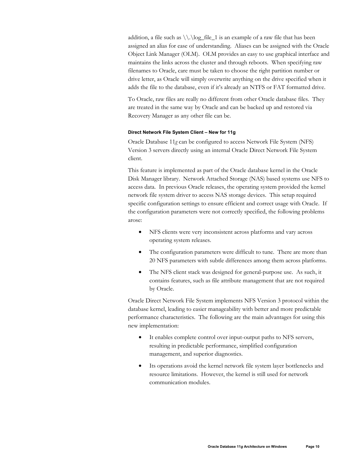addition, a file such as  $\lvert \lvert \lvert \lvert \lvert$  is an example of a raw file that has been assigned an alias for ease of understanding. Aliases can be assigned with the Oracle Object Link Manager (OLM). OLM provides an easy to use graphical interface and maintains the links across the cluster and through reboots. When specifying raw filenames to Oracle, care must be taken to choose the right partition number or drive letter, as Oracle will simply overwrite anything on the drive specified when it adds the file to the database, even if it's already an NTFS or FAT formatted drive.

To Oracle, raw files are really no different from other Oracle database files. They are treated in the same way by Oracle and can be backed up and restored via Recovery Manager as any other file can be.

#### **Direct Network File System Client – New for 11g**

Oracle Database 11*g* can be configured to access Network File System (NFS) Version 3 servers directly using an internal Oracle Direct Network File System client.

This feature is implemented as part of the Oracle database kernel in the Oracle Disk Manager library. Network Attached Storage (NAS) based systems use NFS to access data. In previous Oracle releases, the operating system provided the kernel network file system driver to access NAS storage devices. This setup required specific configuration settings to ensure efficient and correct usage with Oracle. If the configuration parameters were not correctly specified, the following problems arose:

- NFS clients were very inconsistent across platforms and vary across operating system releases.
- The configuration parameters were difficult to tune. There are more than 20 NFS parameters with subtle differences among them across platforms.
- The NFS client stack was designed for general-purpose use. As such, it contains features, such as file attribute management that are not required by Oracle.

Oracle Direct Network File System implements NFS Version 3 protocol within the database kernel, leading to easier manageability with better and more predictable performance characteristics. The following are the main advantages for using this new implementation:

- It enables complete control over input-output paths to NFS servers, resulting in predictable performance, simplified configuration management, and superior diagnostics.
- Its operations avoid the kernel network file system layer bottlenecks and resource limitations. However, the kernel is still used for network communication modules.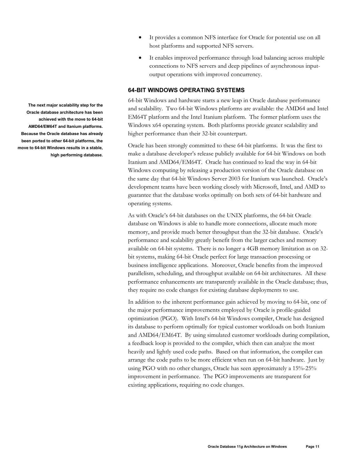- It provides a common NFS interface for Oracle for potential use on all host platforms and supported NFS servers.
- It enables improved performance through load balancing across multiple connections to NFS servers and deep pipelines of asynchronous inputoutput operations with improved concurrency.

#### **64-BIT WINDOWS OPERATING SYSTEMS**

64-bit Windows and hardware starts a new leap in Oracle database performance and scalability. Two 64-bit Windows platforms are available: the AMD64 and Intel EM64T platform and the Intel Itanium platform. The former platform uses the Windows x64 operating system. Both platforms provide greater scalability and higher performance than their 32-bit counterpart.

Oracle has been strongly committed to these 64-bit platforms. It was the first to make a database developer's release publicly available for 64-bit Windows on both Itanium and AMD64/EM64T. Oracle has continued to lead the way in 64-bit Windows computing by releasing a production version of the Oracle database on the same day that 64-bit Windows Server 2003 for Itanium was launched. Oracle's development teams have been working closely with Microsoft, Intel, and AMD to guarantee that the database works optimally on both sets of 64-bit hardware and operating systems.

As with Oracle's 64-bit databases on the UNIX platforms, the 64-bit Oracle database on Windows is able to handle more connections, allocate much more memory, and provide much better throughput than the 32-bit database. Oracle's performance and scalability greatly benefit from the larger caches and memory available on 64-bit systems. There is no longer a 4GB memory limitation as on 32 bit systems, making 64-bit Oracle perfect for large transaction processing or business intelligence applications. Moreover, Oracle benefits from the improved parallelism, scheduling, and throughput available on 64-bit architectures. All these performance enhancements are transparently available in the Oracle database; thus, they require no code changes for existing database deployments to use.

In addition to the inherent performance gain achieved by moving to 64-bit, one of the major performance improvements employed by Oracle is profile-guided optimization (PGO). With Intel's 64-bit Windows compiler, Oracle has designed its database to perform optimally for typical customer workloads on both Itanium and AMD64/EM64T. By using simulated customer workloads during compilation, a feedback loop is provided to the compiler, which then can analyze the most heavily and lightly used code paths. Based on that information, the compiler can arrange the code paths to be more efficient when run on 64-bit hardware. Just by using PGO with no other changes, Oracle has seen approximately a 15%-25% improvement in performance. The PGO improvements are transparent for existing applications, requiring no code changes.

**The next major scalability step for the Oracle database architecture has been achieved with the move to 64-bit AMD64/EM64T and Itanium platforms. Because the Oracle database has already been ported to other 64-bit platforms, the move to 64-bit Windows results in a stable, high performing database.**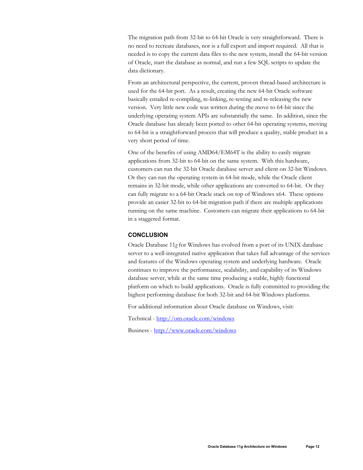The migration path from 32-bit to 64-bit Oracle is very straightforward. There is no need to recreate databases, nor is a full export and import required. All that is needed is to copy the current data files to the new system, install the 64-bit version of Oracle, start the database as normal, and run a few SQL scripts to update the data dictionary.

From an architectural perspective, the current, proven thread-based architecture is used for the 64-bit port. As a result, creating the new 64-bit Oracle software basically entailed re-compiling, re-linking, re-testing and re-releasing the new version. Very little new code was written during the move to 64-bit since the underlying operating system APIs are substantially the same. In addition, since the Oracle database has already been ported to other 64-bit operating systems, moving to 64-bit is a straightforward process that will produce a quality, stable product in a very short period of time.

One of the benefits of using AMD64/EM64T is the ability to easily migrate applications from 32-bit to 64-bit on the same system. With this hardware, customers can run the 32-bit Oracle database server and client on 32-bit Windows. Or they can run the operating system in 64-bit mode, while the Oracle client remains in 32-bit mode, while other applications are converted to 64-bit. Or they can fully migrate to a 64-bit Oracle stack on top of Windows x64. These options provide an easier 32-bit to 64-bit migration path if there are multiple applications running on the same machine. Customers can migrate their applications to 64-bit in a staggered format.

# **CONCLUSION**

Oracle Database 11*g* for Windows has evolved from a port of its UNIX database server to a well-integrated native application that takes full advantage of the services and features of the Windows operating system and underlying hardware. Oracle continues to improve the performance, scalability, and capability of its Windows database server, while at the same time producing a stable, highly functional platform on which to build applications. Oracle is fully committed to providing the highest performing database for both 32-bit and 64-bit Windows platforms.

For additional information about Oracle database on Windows, visit:

Technical - http://otn.oracle.com/windows

Business - http://www.oracle.com/windows